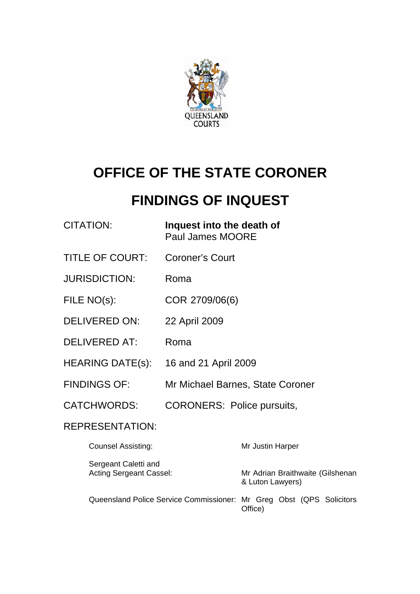

# **OFFICE OF THE STATE CORONER**

# **FINDINGS OF INQUEST**

| CITATION: | Inquest into the death of |
|-----------|---------------------------|
|           | Paul James MOORE          |

- TITLE OF COURT: Coroner's Court
- JURISDICTION: Roma

FILE NO(s): COR 2709/06(6)

- DELIVERED ON: 22 April 2009
- DELIVERED AT: Roma
- HEARING DATE(s): 16 and 21 April 2009
- FINDINGS OF: Mr Michael Barnes, State Coroner
- CATCHWORDS: CORONERS: Police pursuits,

### REPRESENTATION:

| <b>Counsel Assisting:</b>                                            | Mr Justin Harper                                     |
|----------------------------------------------------------------------|------------------------------------------------------|
| Sergeant Caletti and<br><b>Acting Sergeant Cassel:</b>               | Mr Adrian Braithwaite (Gilshenan<br>& Luton Lawyers) |
| Queensland Police Service Commissioner: Mr Greg Obst (QPS Solicitors | Office)                                              |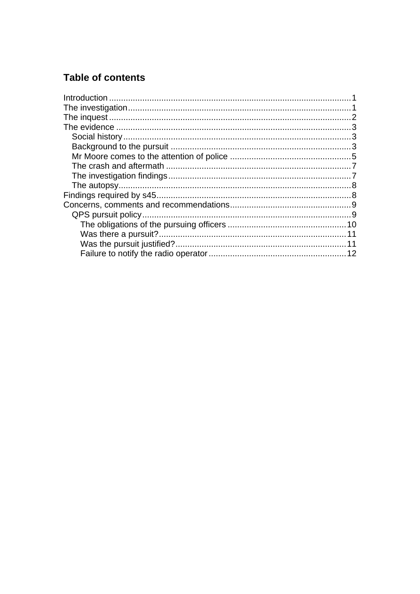# **Table of contents**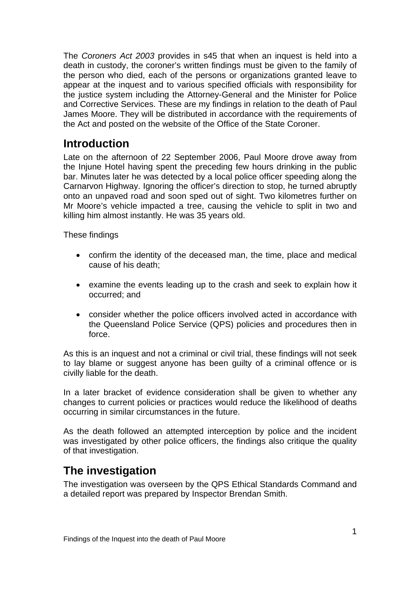<span id="page-2-0"></span>The *Coroners Act 2003* provides in s45 that when an inquest is held into a death in custody, the coroner's written findings must be given to the family of the person who died, each of the persons or organizations granted leave to appear at the inquest and to various specified officials with responsibility for the justice system including the Attorney-General and the Minister for Police and Corrective Services. These are my findings in relation to the death of Paul James Moore. They will be distributed in accordance with the requirements of the Act and posted on the website of the Office of the State Coroner.

# **Introduction**

Late on the afternoon of 22 September 2006, Paul Moore drove away from the Injune Hotel having spent the preceding few hours drinking in the public bar. Minutes later he was detected by a local police officer speeding along the Carnarvon Highway. Ignoring the officer's direction to stop, he turned abruptly onto an unpaved road and soon sped out of sight. Two kilometres further on Mr Moore's vehicle impacted a tree, causing the vehicle to split in two and killing him almost instantly. He was 35 years old.

These findings

- confirm the identity of the deceased man, the time, place and medical cause of his death;
- examine the events leading up to the crash and seek to explain how it occurred; and
- consider whether the police officers involved acted in accordance with the Queensland Police Service (QPS) policies and procedures then in force.

As this is an inquest and not a criminal or civil trial, these findings will not seek to lay blame or suggest anyone has been guilty of a criminal offence or is civilly liable for the death.

In a later bracket of evidence consideration shall be given to whether any changes to current policies or practices would reduce the likelihood of deaths occurring in similar circumstances in the future.

As the death followed an attempted interception by police and the incident was investigated by other police officers, the findings also critique the quality of that investigation.

# **The investigation**

The investigation was overseen by the QPS Ethical Standards Command and a detailed report was prepared by Inspector Brendan Smith.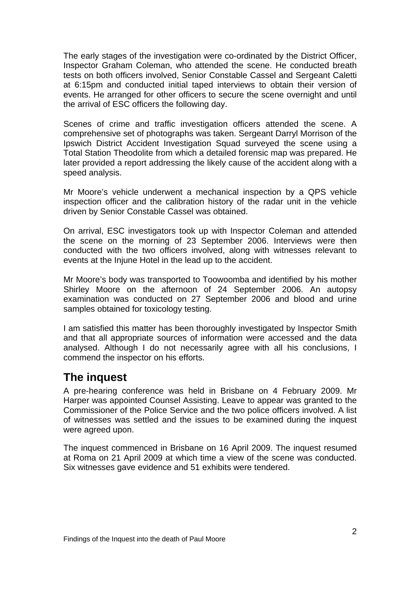<span id="page-3-0"></span>The early stages of the investigation were co-ordinated by the District Officer, Inspector Graham Coleman, who attended the scene. He conducted breath tests on both officers involved, Senior Constable Cassel and Sergeant Caletti at 6:15pm and conducted initial taped interviews to obtain their version of events. He arranged for other officers to secure the scene overnight and until the arrival of ESC officers the following day.

Scenes of crime and traffic investigation officers attended the scene. A comprehensive set of photographs was taken. Sergeant Darryl Morrison of the Ipswich District Accident Investigation Squad surveyed the scene using a Total Station Theodolite from which a detailed forensic map was prepared. He later provided a report addressing the likely cause of the accident along with a speed analysis.

Mr Moore's vehicle underwent a mechanical inspection by a QPS vehicle inspection officer and the calibration history of the radar unit in the vehicle driven by Senior Constable Cassel was obtained.

On arrival, ESC investigators took up with Inspector Coleman and attended the scene on the morning of 23 September 2006. Interviews were then conducted with the two officers involved, along with witnesses relevant to events at the Injune Hotel in the lead up to the accident.

Mr Moore's body was transported to Toowoomba and identified by his mother Shirley Moore on the afternoon of 24 September 2006. An autopsy examination was conducted on 27 September 2006 and blood and urine samples obtained for toxicology testing.

I am satisfied this matter has been thoroughly investigated by Inspector Smith and that all appropriate sources of information were accessed and the data analysed. Although I do not necessarily agree with all his conclusions, I commend the inspector on his efforts.

## **The inquest**

A pre-hearing conference was held in Brisbane on 4 February 2009. Mr Harper was appointed Counsel Assisting. Leave to appear was granted to the Commissioner of the Police Service and the two police officers involved. A list of witnesses was settled and the issues to be examined during the inquest were agreed upon.

The inquest commenced in Brisbane on 16 April 2009. The inquest resumed at Roma on 21 April 2009 at which time a view of the scene was conducted. Six witnesses gave evidence and 51 exhibits were tendered.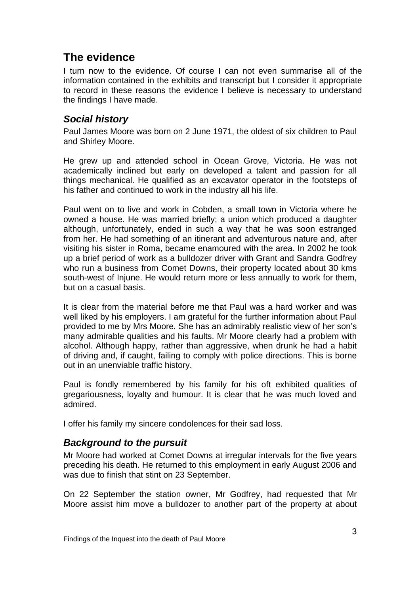## <span id="page-4-0"></span>**The evidence**

I turn now to the evidence. Of course I can not even summarise all of the information contained in the exhibits and transcript but I consider it appropriate to record in these reasons the evidence I believe is necessary to understand the findings I have made.

## *Social history*

Paul James Moore was born on 2 June 1971, the oldest of six children to Paul and Shirley Moore.

He grew up and attended school in Ocean Grove, Victoria. He was not academically inclined but early on developed a talent and passion for all things mechanical. He qualified as an excavator operator in the footsteps of his father and continued to work in the industry all his life.

Paul went on to live and work in Cobden, a small town in Victoria where he owned a house. He was married briefly; a union which produced a daughter although, unfortunately, ended in such a way that he was soon estranged from her. He had something of an itinerant and adventurous nature and, after visiting his sister in Roma, became enamoured with the area. In 2002 he took up a brief period of work as a bulldozer driver with Grant and Sandra Godfrey who run a business from Comet Downs, their property located about 30 kms south-west of Injune. He would return more or less annually to work for them, but on a casual basis.

It is clear from the material before me that Paul was a hard worker and was well liked by his employers. I am grateful for the further information about Paul provided to me by Mrs Moore. She has an admirably realistic view of her son's many admirable qualities and his faults. Mr Moore clearly had a problem with alcohol. Although happy, rather than aggressive, when drunk he had a habit of driving and, if caught, failing to comply with police directions. This is borne out in an unenviable traffic history.

Paul is fondly remembered by his family for his oft exhibited qualities of gregariousness, loyalty and humour. It is clear that he was much loved and admired.

I offer his family my sincere condolences for their sad loss.

### *Background to the pursuit*

Mr Moore had worked at Comet Downs at irregular intervals for the five years preceding his death. He returned to this employment in early August 2006 and was due to finish that stint on 23 September.

On 22 September the station owner, Mr Godfrey, had requested that Mr Moore assist him move a bulldozer to another part of the property at about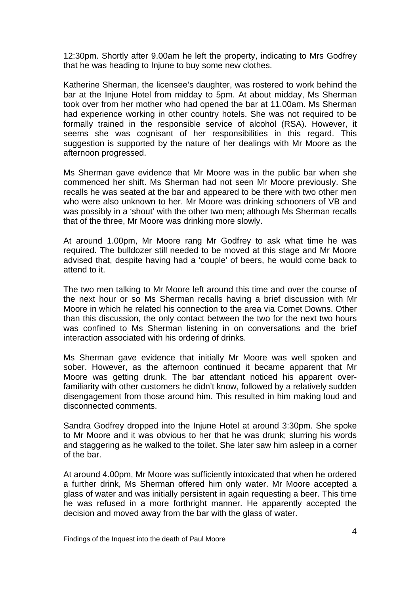12:30pm. Shortly after 9.00am he left the property, indicating to Mrs Godfrey that he was heading to Injune to buy some new clothes.

Katherine Sherman, the licensee's daughter, was rostered to work behind the bar at the Injune Hotel from midday to 5pm. At about midday, Ms Sherman took over from her mother who had opened the bar at 11.00am. Ms Sherman had experience working in other country hotels. She was not required to be formally trained in the responsible service of alcohol (RSA). However, it seems she was cognisant of her responsibilities in this regard. This suggestion is supported by the nature of her dealings with Mr Moore as the afternoon progressed.

Ms Sherman gave evidence that Mr Moore was in the public bar when she commenced her shift. Ms Sherman had not seen Mr Moore previously. She recalls he was seated at the bar and appeared to be there with two other men who were also unknown to her. Mr Moore was drinking schooners of VB and was possibly in a 'shout' with the other two men; although Ms Sherman recalls that of the three, Mr Moore was drinking more slowly.

At around 1.00pm, Mr Moore rang Mr Godfrey to ask what time he was required. The bulldozer still needed to be moved at this stage and Mr Moore advised that, despite having had a 'couple' of beers, he would come back to attend to it.

The two men talking to Mr Moore left around this time and over the course of the next hour or so Ms Sherman recalls having a brief discussion with Mr Moore in which he related his connection to the area via Comet Downs. Other than this discussion, the only contact between the two for the next two hours was confined to Ms Sherman listening in on conversations and the brief interaction associated with his ordering of drinks.

Ms Sherman gave evidence that initially Mr Moore was well spoken and sober. However, as the afternoon continued it became apparent that Mr Moore was getting drunk. The bar attendant noticed his apparent overfamiliarity with other customers he didn't know, followed by a relatively sudden disengagement from those around him. This resulted in him making loud and disconnected comments.

Sandra Godfrey dropped into the Injune Hotel at around 3:30pm. She spoke to Mr Moore and it was obvious to her that he was drunk; slurring his words and staggering as he walked to the toilet. She later saw him asleep in a corner of the bar.

At around 4.00pm, Mr Moore was sufficiently intoxicated that when he ordered a further drink, Ms Sherman offered him only water. Mr Moore accepted a glass of water and was initially persistent in again requesting a beer. This time he was refused in a more forthright manner. He apparently accepted the decision and moved away from the bar with the glass of water.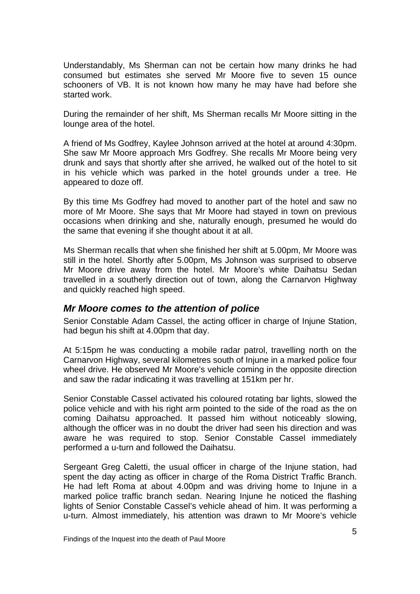<span id="page-6-0"></span>Understandably, Ms Sherman can not be certain how many drinks he had consumed but estimates she served Mr Moore five to seven 15 ounce schooners of VB. It is not known how many he may have had before she started work.

During the remainder of her shift, Ms Sherman recalls Mr Moore sitting in the lounge area of the hotel.

A friend of Ms Godfrey, Kaylee Johnson arrived at the hotel at around 4:30pm. She saw Mr Moore approach Mrs Godfrey. She recalls Mr Moore being very drunk and says that shortly after she arrived, he walked out of the hotel to sit in his vehicle which was parked in the hotel grounds under a tree. He appeared to doze off.

By this time Ms Godfrey had moved to another part of the hotel and saw no more of Mr Moore. She says that Mr Moore had stayed in town on previous occasions when drinking and she, naturally enough, presumed he would do the same that evening if she thought about it at all.

Ms Sherman recalls that when she finished her shift at 5.00pm, Mr Moore was still in the hotel. Shortly after 5.00pm, Ms Johnson was surprised to observe Mr Moore drive away from the hotel. Mr Moore's white Daihatsu Sedan travelled in a southerly direction out of town, along the Carnarvon Highway and quickly reached high speed.

#### *Mr Moore comes to the attention of police*

Senior Constable Adam Cassel, the acting officer in charge of Injune Station, had begun his shift at 4.00pm that day.

At 5:15pm he was conducting a mobile radar patrol, travelling north on the Carnarvon Highway, several kilometres south of Injune in a marked police four wheel drive. He observed Mr Moore's vehicle coming in the opposite direction and saw the radar indicating it was travelling at 151km per hr.

Senior Constable Cassel activated his coloured rotating bar lights, slowed the police vehicle and with his right arm pointed to the side of the road as the on coming Daihatsu approached. It passed him without noticeably slowing, although the officer was in no doubt the driver had seen his direction and was aware he was required to stop. Senior Constable Cassel immediately performed a u-turn and followed the Daihatsu.

Sergeant Greg Caletti, the usual officer in charge of the Injune station, had spent the day acting as officer in charge of the Roma District Traffic Branch. He had left Roma at about 4.00pm and was driving home to Injune in a marked police traffic branch sedan. Nearing Injune he noticed the flashing lights of Senior Constable Cassel's vehicle ahead of him. It was performing a u-turn. Almost immediately, his attention was drawn to Mr Moore's vehicle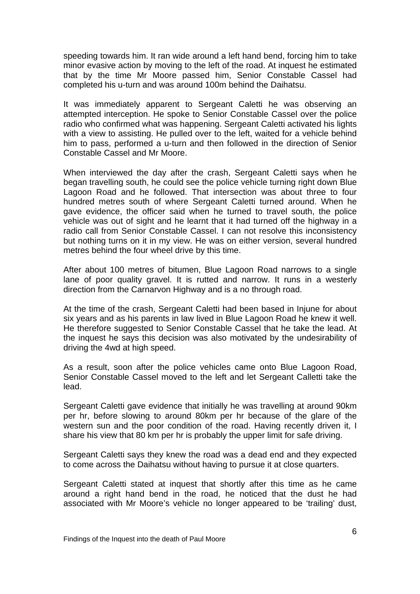speeding towards him. It ran wide around a left hand bend, forcing him to take minor evasive action by moving to the left of the road. At inquest he estimated that by the time Mr Moore passed him, Senior Constable Cassel had completed his u-turn and was around 100m behind the Daihatsu.

It was immediately apparent to Sergeant Caletti he was observing an attempted interception. He spoke to Senior Constable Cassel over the police radio who confirmed what was happening. Sergeant Caletti activated his lights with a view to assisting. He pulled over to the left, waited for a vehicle behind him to pass, performed a u-turn and then followed in the direction of Senior Constable Cassel and Mr Moore.

When interviewed the day after the crash, Sergeant Caletti says when he began travelling south, he could see the police vehicle turning right down Blue Lagoon Road and he followed. That intersection was about three to four hundred metres south of where Sergeant Caletti turned around. When he gave evidence, the officer said when he turned to travel south, the police vehicle was out of sight and he learnt that it had turned off the highway in a radio call from Senior Constable Cassel. I can not resolve this inconsistency but nothing turns on it in my view. He was on either version, several hundred metres behind the four wheel drive by this time.

After about 100 metres of bitumen, Blue Lagoon Road narrows to a single lane of poor quality gravel. It is rutted and narrow. It runs in a westerly direction from the Carnarvon Highway and is a no through road.

At the time of the crash, Sergeant Caletti had been based in Injune for about six years and as his parents in law lived in Blue Lagoon Road he knew it well. He therefore suggested to Senior Constable Cassel that he take the lead. At the inquest he says this decision was also motivated by the undesirability of driving the 4wd at high speed.

As a result, soon after the police vehicles came onto Blue Lagoon Road, Senior Constable Cassel moved to the left and let Sergeant Calletti take the lead.

Sergeant Caletti gave evidence that initially he was travelling at around 90km per hr, before slowing to around 80km per hr because of the glare of the western sun and the poor condition of the road. Having recently driven it, I share his view that 80 km per hr is probably the upper limit for safe driving.

Sergeant Caletti says they knew the road was a dead end and they expected to come across the Daihatsu without having to pursue it at close quarters.

Sergeant Caletti stated at inquest that shortly after this time as he came around a right hand bend in the road, he noticed that the dust he had associated with Mr Moore's vehicle no longer appeared to be 'trailing' dust,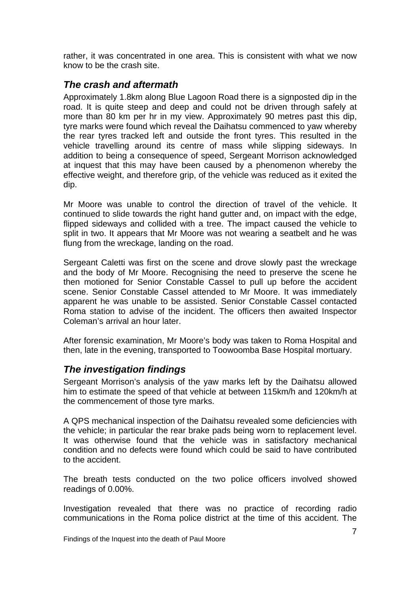<span id="page-8-0"></span>rather, it was concentrated in one area. This is consistent with what we now know to be the crash site.

### *The crash and aftermath*

Approximately 1.8km along Blue Lagoon Road there is a signposted dip in the road. It is quite steep and deep and could not be driven through safely at more than 80 km per hr in my view. Approximately 90 metres past this dip, tyre marks were found which reveal the Daihatsu commenced to yaw whereby the rear tyres tracked left and outside the front tyres. This resulted in the vehicle travelling around its centre of mass while slipping sideways. In addition to being a consequence of speed, Sergeant Morrison acknowledged at inquest that this may have been caused by a phenomenon whereby the effective weight, and therefore grip, of the vehicle was reduced as it exited the dip.

Mr Moore was unable to control the direction of travel of the vehicle. It continued to slide towards the right hand gutter and, on impact with the edge, flipped sideways and collided with a tree. The impact caused the vehicle to split in two. It appears that Mr Moore was not wearing a seatbelt and he was flung from the wreckage, landing on the road.

Sergeant Caletti was first on the scene and drove slowly past the wreckage and the body of Mr Moore. Recognising the need to preserve the scene he then motioned for Senior Constable Cassel to pull up before the accident scene. Senior Constable Cassel attended to Mr Moore. It was immediately apparent he was unable to be assisted. Senior Constable Cassel contacted Roma station to advise of the incident. The officers then awaited Inspector Coleman's arrival an hour later.

After forensic examination, Mr Moore's body was taken to Roma Hospital and then, late in the evening, transported to Toowoomba Base Hospital mortuary.

### *The investigation findings*

Sergeant Morrison's analysis of the yaw marks left by the Daihatsu allowed him to estimate the speed of that vehicle at between 115km/h and 120km/h at the commencement of those tyre marks.

A QPS mechanical inspection of the Daihatsu revealed some deficiencies with the vehicle; in particular the rear brake pads being worn to replacement level. It was otherwise found that the vehicle was in satisfactory mechanical condition and no defects were found which could be said to have contributed to the accident.

The breath tests conducted on the two police officers involved showed readings of 0.00%.

Investigation revealed that there was no practice of recording radio communications in the Roma police district at the time of this accident. The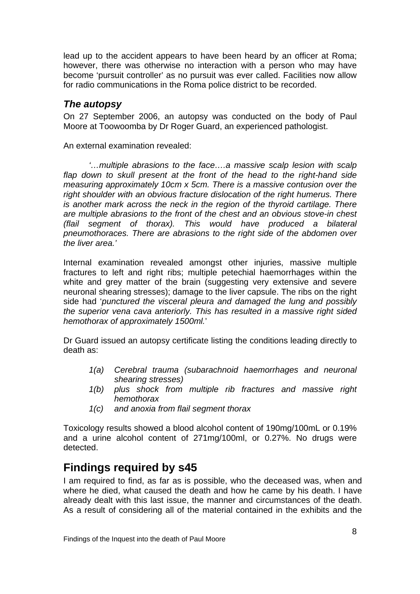<span id="page-9-0"></span>lead up to the accident appears to have been heard by an officer at Roma; however, there was otherwise no interaction with a person who may have become 'pursuit controller' as no pursuit was ever called. Facilities now allow for radio communications in the Roma police district to be recorded.

#### *The autopsy*

On 27 September 2006, an autopsy was conducted on the body of Paul Moore at Toowoomba by Dr Roger Guard, an experienced pathologist.

An external examination revealed:

*'…multiple abrasions to the face….a massive scalp lesion with scalp flap down to skull present at the front of the head to the right-hand side measuring approximately 10cm x 5cm. There is a massive contusion over the right shoulder with an obvious fracture dislocation of the right humerus. There is another mark across the neck in the region of the thyroid cartilage. There are multiple abrasions to the front of the chest and an obvious stove-in chest (flail segment of thorax). This would have produced a bilateral pneumothoraces. There are abrasions to the right side of the abdomen over the liver area.'*

Internal examination revealed amongst other injuries, massive multiple fractures to left and right ribs; multiple petechial haemorrhages within the white and grey matter of the brain (suggesting very extensive and severe neuronal shearing stresses); damage to the liver capsule. The ribs on the right side had '*punctured the visceral pleura and damaged the lung and possibly the superior vena cava anteriorly. This has resulted in a massive right sided hemothorax of approximately 1500ml.*'

Dr Guard issued an autopsy certificate listing the conditions leading directly to death as:

- *1(a) Cerebral trauma (subarachnoid haemorrhages and neuronal shearing stresses)*
- *1(b) plus shock from multiple rib fractures and massive right hemothorax*
- *1(c) and anoxia from flail segment thorax*

Toxicology results showed a blood alcohol content of 190mg/100mL or 0.19% and a urine alcohol content of 271mg/100ml, or 0.27%. No drugs were detected.

## **Findings required by s45**

I am required to find, as far as is possible, who the deceased was, when and where he died, what caused the death and how he came by his death. I have already dealt with this last issue, the manner and circumstances of the death. As a result of considering all of the material contained in the exhibits and the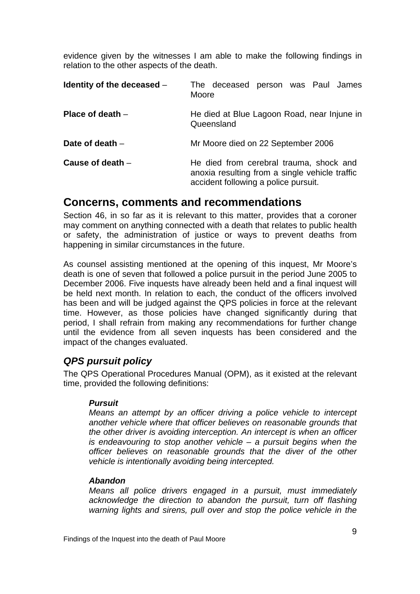<span id="page-10-0"></span>evidence given by the witnesses I am able to make the following findings in relation to the other aspects of the death.

| Identity of the deceased - | The deceased person was Paul James<br>Moore                                                                                       |
|----------------------------|-----------------------------------------------------------------------------------------------------------------------------------|
| Place of death $-$         | He died at Blue Lagoon Road, near Injune in<br>Queensland                                                                         |
| Date of death $-$          | Mr Moore died on 22 September 2006                                                                                                |
| Cause of death $-$         | He died from cerebral trauma, shock and<br>anoxia resulting from a single vehicle traffic<br>accident following a police pursuit. |

## **Concerns, comments and recommendations**

Section 46, in so far as it is relevant to this matter, provides that a coroner may comment on anything connected with a death that relates to public health or safety, the administration of justice or ways to prevent deaths from happening in similar circumstances in the future.

As counsel assisting mentioned at the opening of this inquest, Mr Moore's death is one of seven that followed a police pursuit in the period June 2005 to December 2006. Five inquests have already been held and a final inquest will be held next month. In relation to each, the conduct of the officers involved has been and will be judged against the QPS policies in force at the relevant time. However, as those policies have changed significantly during that period, I shall refrain from making any recommendations for further change until the evidence from all seven inquests has been considered and the impact of the changes evaluated.

## *QPS pursuit policy*

The QPS Operational Procedures Manual (OPM), as it existed at the relevant time, provided the following definitions:

#### *Pursuit*

*Means an attempt by an officer driving a police vehicle to intercept another vehicle where that officer believes on reasonable grounds that the other driver is avoiding interception. An intercept is when an officer is endeavouring to stop another vehicle – a pursuit begins when the officer believes on reasonable grounds that the diver of the other vehicle is intentionally avoiding being intercepted.* 

#### *Abandon*

*Means all police drivers engaged in a pursuit, must immediately acknowledge the direction to abandon the pursuit, turn off flashing warning lights and sirens, pull over and stop the police vehicle in the*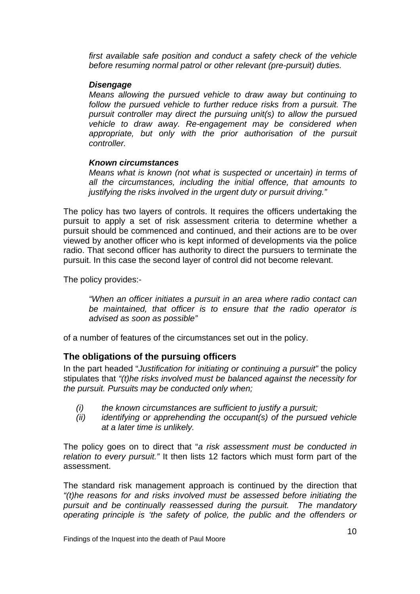<span id="page-11-0"></span>*first available safe position and conduct a safety check of the vehicle before resuming normal patrol or other relevant (pre-pursuit) duties.* 

#### *Disengage*

*Means allowing the pursued vehicle to draw away but continuing to follow the pursued vehicle to further reduce risks from a pursuit. The pursuit controller may direct the pursuing unit(s) to allow the pursued vehicle to draw away. Re-engagement may be considered when appropriate, but only with the prior authorisation of the pursuit controller.* 

#### *Known circumstances*

*Means what is known (not what is suspected or uncertain) in terms of all the circumstances, including the initial offence, that amounts to justifying the risks involved in the urgent duty or pursuit driving."* 

The policy has two layers of controls. It requires the officers undertaking the pursuit to apply a set of risk assessment criteria to determine whether a pursuit should be commenced and continued, and their actions are to be over viewed by another officer who is kept informed of developments via the police radio. That second officer has authority to direct the pursuers to terminate the pursuit. In this case the second layer of control did not become relevant.

The policy provides:-

*"When an officer initiates a pursuit in an area where radio contact can be maintained, that officer is to ensure that the radio operator is advised as soon as possible"* 

of a number of features of the circumstances set out in the policy.

#### **The obligations of the pursuing officers**

In the part headed "*Justification for initiating or continuing a pursuit"* the policy stipulates that *"(t)he risks involved must be balanced against the necessity for the pursuit. Pursuits may be conducted only when;* 

- *(i) the known circumstances are sufficient to justify a pursuit;*
- *(ii) identifying or apprehending the occupant(s) of the pursued vehicle at a later time is unlikely.*

The policy goes on to direct that "*a risk assessment must be conducted in relation to every pursuit."* It then lists 12 factors which must form part of the assessment.

The standard risk management approach is continued by the direction that *"(t)he reasons for and risks involved must be assessed before initiating the pursuit and be continually reassessed during the pursuit. The mandatory operating principle is 'the safety of police, the public and the offenders or*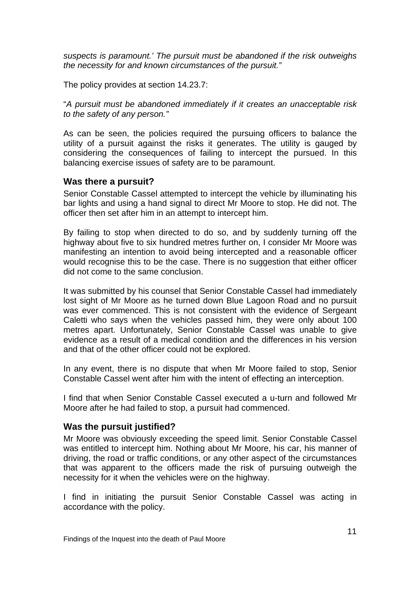<span id="page-12-0"></span>*suspects is paramount.' The pursuit must be abandoned if the risk outweighs the necessity for and known circumstances of the pursuit."* 

The policy provides at section 14.23.7:

"*A pursuit must be abandoned immediately if it creates an unacceptable risk to the safety of any person."* 

As can be seen, the policies required the pursuing officers to balance the utility of a pursuit against the risks it generates. The utility is gauged by considering the consequences of failing to intercept the pursued. In this balancing exercise issues of safety are to be paramount.

#### **Was there a pursuit?**

Senior Constable Cassel attempted to intercept the vehicle by illuminating his bar lights and using a hand signal to direct Mr Moore to stop. He did not. The officer then set after him in an attempt to intercept him.

By failing to stop when directed to do so, and by suddenly turning off the highway about five to six hundred metres further on, I consider Mr Moore was manifesting an intention to avoid being intercepted and a reasonable officer would recognise this to be the case. There is no suggestion that either officer did not come to the same conclusion.

It was submitted by his counsel that Senior Constable Cassel had immediately lost sight of Mr Moore as he turned down Blue Lagoon Road and no pursuit was ever commenced. This is not consistent with the evidence of Sergeant Caletti who says when the vehicles passed him, they were only about 100 metres apart. Unfortunately, Senior Constable Cassel was unable to give evidence as a result of a medical condition and the differences in his version and that of the other officer could not be explored.

In any event, there is no dispute that when Mr Moore failed to stop, Senior Constable Cassel went after him with the intent of effecting an interception.

I find that when Senior Constable Cassel executed a u-turn and followed Mr Moore after he had failed to stop, a pursuit had commenced.

#### **Was the pursuit justified?**

Mr Moore was obviously exceeding the speed limit. Senior Constable Cassel was entitled to intercept him. Nothing about Mr Moore, his car, his manner of driving, the road or traffic conditions, or any other aspect of the circumstances that was apparent to the officers made the risk of pursuing outweigh the necessity for it when the vehicles were on the highway.

I find in initiating the pursuit Senior Constable Cassel was acting in accordance with the policy.